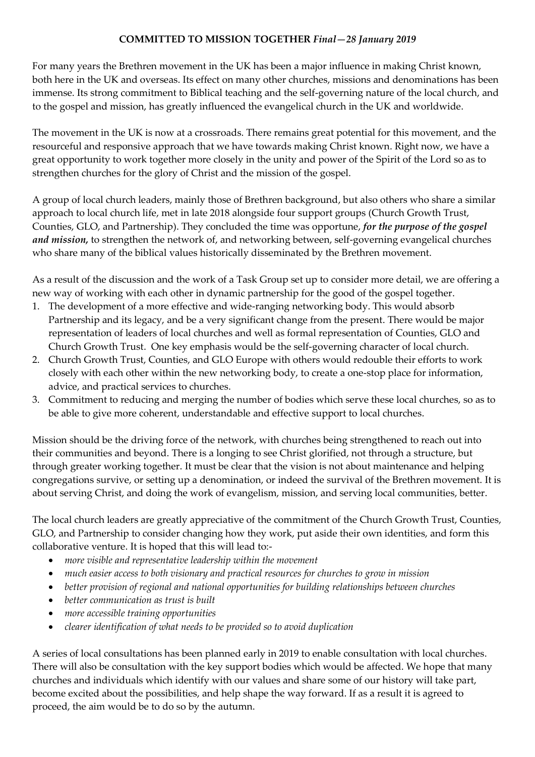# **COMMITTED TO MISSION TOGETHER** *Final—28 January 2019*

For many years the Brethren movement in the UK has been a major influence in making Christ known, both here in the UK and overseas. Its effect on many other churches, missions and denominations has been immense. Its strong commitment to Biblical teaching and the self-governing nature of the local church, and to the gospel and mission, has greatly influenced the evangelical church in the UK and worldwide.

The movement in the UK is now at a crossroads. There remains great potential for this movement, and the resourceful and responsive approach that we have towards making Christ known. Right now, we have a great opportunity to work together more closely in the unity and power of the Spirit of the Lord so as to strengthen churches for the glory of Christ and the mission of the gospel.

A group of local church leaders, mainly those of Brethren background, but also others who share a similar approach to local church life, met in late 2018 alongside four support groups (Church Growth Trust, Counties, GLO, and Partnership). They concluded the time was opportune, *for the purpose of the gospel and mission,* to strengthen the network of, and networking between, self-governing evangelical churches who share many of the biblical values historically disseminated by the Brethren movement.

As a result of the discussion and the work of a Task Group set up to consider more detail, we are offering a new way of working with each other in dynamic partnership for the good of the gospel together.

- 1. The development of a more effective and wide-ranging networking body. This would absorb Partnership and its legacy, and be a very significant change from the present. There would be major representation of leaders of local churches and well as formal representation of Counties, GLO and Church Growth Trust. One key emphasis would be the self-governing character of local church.
- 2. Church Growth Trust, Counties, and GLO Europe with others would redouble their efforts to work closely with each other within the new networking body, to create a one-stop place for information, advice, and practical services to churches.
- 3. Commitment to reducing and merging the number of bodies which serve these local churches, so as to be able to give more coherent, understandable and effective support to local churches.

Mission should be the driving force of the network, with churches being strengthened to reach out into their communities and beyond. There is a longing to see Christ glorified, not through a structure, but through greater working together. It must be clear that the vision is not about maintenance and helping congregations survive, or setting up a denomination, or indeed the survival of the Brethren movement. It is about serving Christ, and doing the work of evangelism, mission, and serving local communities, better.

The local church leaders are greatly appreciative of the commitment of the Church Growth Trust, Counties, GLO, and Partnership to consider changing how they work, put aside their own identities, and form this collaborative venture. It is hoped that this will lead to:-

- *more visible and representative leadership within the movement*
- *much easier access to both visionary and practical resources for churches to grow in mission*
- *better provision of regional and national opportunities for building relationships between churches*
- *better communication as trust is built*
- *more accessible training opportunities*
- *clearer identification of what needs to be provided so to avoid duplication*

A series of local consultations has been planned early in 2019 to enable consultation with local churches. There will also be consultation with the key support bodies which would be affected. We hope that many churches and individuals which identify with our values and share some of our history will take part, become excited about the possibilities, and help shape the way forward. If as a result it is agreed to proceed, the aim would be to do so by the autumn.